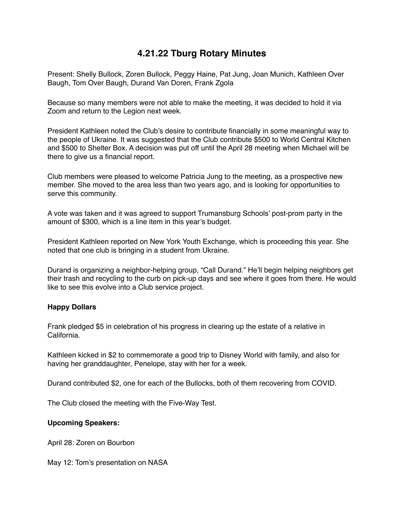## **4.21.22 Tburg Rotary Minutes**

Present: Shelly Bullock, Zoren Bullock, Peggy Haine, Pat Jung, Joan Munich, Kathleen Over Baugh, Tom Over Baugh, Durand Van Doren, Frank Zgola

Because so many members were not able to make the meeting, it was decided to hold it via Zoom and return to the Legion next week.

President Kathleen noted the Club's desire to contribute financially in some meaningful way to the people of Ukraine. It was suggested that the Club contribute \$500 to World Central Kitchen and \$500 to Shelter Box. A decision was put off until the April 28 meeting when Michael will be there to give us a financial report.

Club members were pleased to welcome Patricia Jung to the meeting, as a prospective new member. She moved to the area less than two years ago, and is looking for opportunities to serve this community.

A vote was taken and it was agreed to support Trumansburg Schools' post-prom party in the amount of \$300, which is a line item in this year's budget.

President Kathleen reported on New York Youth Exchange, which is proceeding this year. She noted that one club is bringing in a student from Ukraine.

Durand is organizing a neighbor-helping group, "Call Durand." He'll begin helping neighbors get their trash and recycling to the curb on pick-up days and see where it goes from there. He would like to see this evolve into a Club service project.

## **Happy Dollars**

Frank pledged \$5 in celebration of his progress in clearing up the estate of a relative in California.

Kathleen kicked in \$2 to commemorate a good trip to Disney World with family, and also for having her granddaughter, Penelope, stay with her for a week.

Durand contributed \$2, one for each of the Bullocks, both of them recovering from COVID.

The Club closed the meeting with the Five-Way Test.

## **Upcoming Speakers:**

April 28: Zoren on Bourbon

May 12: Tom's presentation on NASA